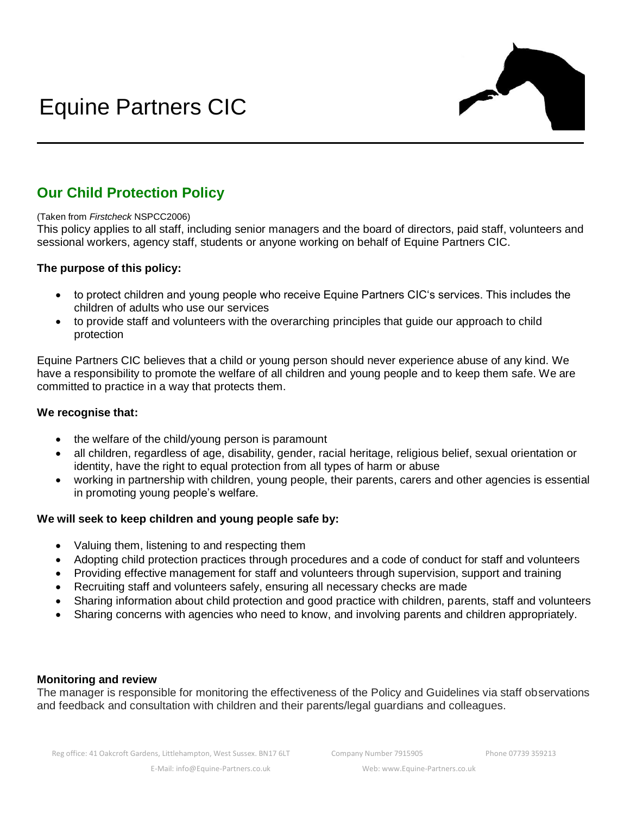

# **Our Child Protection Policy**

## (Taken from *Firstcheck* NSPCC2006)

This policy applies to all staff, including senior managers and the board of directors, paid staff, volunteers and sessional workers, agency staff, students or anyone working on behalf of Equine Partners CIC.

## **The purpose of this policy:**

- to protect children and young people who receive Equine Partners CIC's services. This includes the children of adults who use our services
- to provide staff and volunteers with the overarching principles that guide our approach to child protection

Equine Partners CIC believes that a child or young person should never experience abuse of any kind. We have a responsibility to promote the welfare of all children and young people and to keep them safe. We are committed to practice in a way that protects them.

## **We recognise that:**

- the welfare of the child/young person is paramount
- all children, regardless of age, disability, gender, racial heritage, religious belief, sexual orientation or identity, have the right to equal protection from all types of harm or abuse
- working in partnership with children, young people, their parents, carers and other agencies is essential in promoting young people's welfare.

## **We will seek to keep children and young people safe by:**

- Valuing them, listening to and respecting them
- Adopting child protection practices through procedures and a code of conduct for staff and volunteers
- Providing effective management for staff and volunteers through supervision, support and training
- Recruiting staff and volunteers safely, ensuring all necessary checks are made
- Sharing information about child protection and good practice with children, parents, staff and volunteers
- Sharing concerns with agencies who need to know, and involving parents and children appropriately.

### **Monitoring and review**

The manager is responsible for monitoring the effectiveness of the Policy and Guidelines via staff observations and feedback and consultation with children and their parents/legal guardians and colleagues.